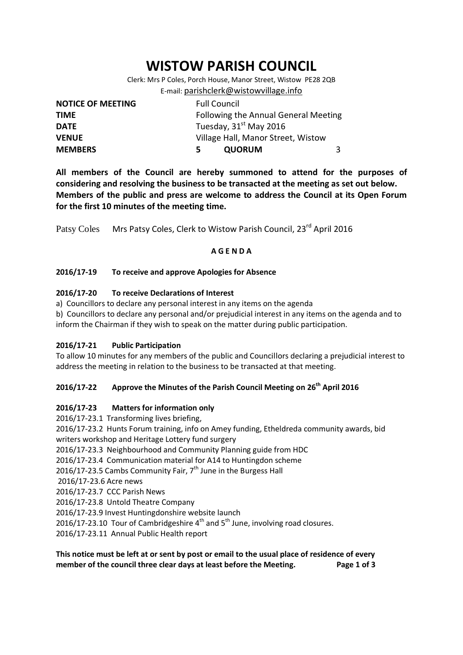# **WISTOW PARISH COUNCIL**

Clerk: Mrs P Coles, Porch House, Manor Street, Wistow PE28 2QB E-mail: [parishclerk@wistowvillage.info](mailto:parishclerk@wistowvillage.info)

| <b>NOTICE OF MEETING</b> | <b>Full Council</b>                  |   |  |
|--------------------------|--------------------------------------|---|--|
| <b>TIME</b>              | Following the Annual General Meeting |   |  |
| <b>DATE</b>              | Tuesday, 31 <sup>st</sup> May 2016   |   |  |
| <b>VENUE</b>             | Village Hall, Manor Street, Wistow   |   |  |
| <b>MEMBERS</b>           | <b>QUORUM</b><br>5                   | 3 |  |

**All members of the Council are hereby summoned to attend for the purposes of considering and resolving the business to be transacted at the meeting as set out below. Members of the public and press are welcome to address the Council at its Open Forum for the first 10 minutes of the meeting time.**

Patsy Coles Mrs Patsy Coles, Clerk to Wistow Parish Council, 23<sup>rd</sup> April 2016

# **A G E N D A**

## **2016/17-19 To receive and approve Apologies for Absence**

## **2016/17-20 To receive Declarations of Interest**

a) Councillors to declare any personal interest in any items on the agenda

b) Councillors to declare any personal and/or prejudicial interest in any items on the agenda and to inform the Chairman if they wish to speak on the matter during public participation.

#### **2016/17-21 Public Participation**

To allow 10 minutes for any members of the public and Councillors declaring a prejudicial interest to address the meeting in relation to the business to be transacted at that meeting.

# **2016/17-22 Approve the Minutes of the Parish Council Meeting on 26th April 2016**

#### **2016/17-23 Matters for information only**

2016/17-23.1 Transforming lives briefing, 2016/17-23.2 Hunts Forum training, info on Amey funding, Etheldreda community awards, bid writers workshop and Heritage Lottery fund surgery

2016/17-23.3 Neighbourhood and Community Planning guide from HDC

2016/17-23.4 Communication material for A14 to Huntingdon scheme

2016/17-23.5 Cambs Community Fair,  $7<sup>th</sup>$  June in the Burgess Hall

2016/17-23.6 Acre news

2016/17-23.7 CCC Parish News

2016/17-23.8 Untold Theatre Company

2016/17-23.9 Invest Huntingdonshire website launch

2016/17-23.10 Tour of Cambridgeshire  $4<sup>th</sup>$  and  $5<sup>th</sup>$  June, involving road closures.

2016/17-23.11 Annual Public Health report

# **This notice must be left at or sent by post or email to the usual place of residence of every member of the council three clear days at least before the Meeting. Page 1 of 3**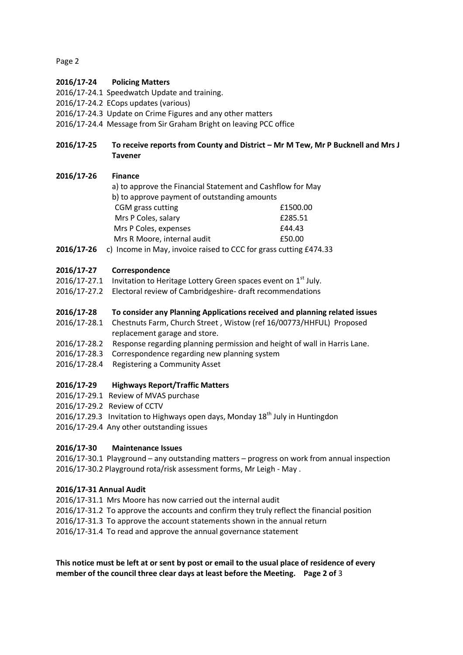Page 2

# **2016/17-24 Policing Matters**

- 2016/17-24.1 Speedwatch Update and training.
- 2016/17-24.2 ECops updates (various)
- 2016/17-24.3 Update on Crime Figures and any other matters
- 2016/17-24.4 Message from Sir Graham Bright on leaving PCC office

# **2016/17-25 To receive reports from County and District – Mr M Tew, Mr P Bucknell and Mrs J Tavener**

## **2016/17-26 Finance**

| a) to approve the Financial Statement and Cashflow for May |          |
|------------------------------------------------------------|----------|
| b) to approve payment of outstanding amounts               |          |
| CGM grass cutting                                          | £1500.00 |
| Mrs P Coles, salary                                        | £285.51  |
| Mrs P Coles, expenses                                      | £44.43   |
| Mrs R Moore, internal audit                                | £50.00   |
| .                                                          |          |

**2016/17-26** c) Income in May, invoice raised to CCC for grass cutting £474.33

## **2016/17-27 Correspondence**

- 2016/17-27.1 Invitation to Heritage Lottery Green spaces event on  $1<sup>st</sup>$  July.
- 2016/17-27.2 Electoral review of Cambridgeshire- draft recommendations

## **2016/17-28 To consider any Planning Applications received and planning related issues**

- 2016/17-28.1 Chestnuts Farm, Church Street , Wistow (ref 16/00773/HHFUL) Proposed replacement garage and store.
- 2016/17-28.2 Response regarding planning permission and height of wall in Harris Lane.
- 2016/17-28.3 Correspondence regarding new planning system
- 2016/17-28.4 Registering a Community Asset

# **2016/17-29 Highways Report/Traffic Matters**

- 2016/17-29.1 Review of MVAS purchase
- 2016/17-29.2 Review of CCTV
- 2016/17.29.3 Invitation to Highways open days, Monday  $18<sup>th</sup>$  July in Huntingdon
- 2016/17-29.4 Any other outstanding issues

#### **2016/17-30 Maintenance Issues**

2016/17-30.1 Playground – any outstanding matters – progress on work from annual inspection 2016/17-30.2 Playground rota/risk assessment forms, Mr Leigh - May .

#### **2016/17-31 Annual Audit**

- 2016/17-31.1 Mrs Moore has now carried out the internal audit
- 2016/17-31.2 To approve the accounts and confirm they truly reflect the financial position
- 2016/17-31.3 To approve the account statements shown in the annual return
- 2016/17-31.4 To read and approve the annual governance statement

# **This notice must be left at or sent by post or email to the usual place of residence of every member of the council three clear days at least before the Meeting. Page 2 of** 3